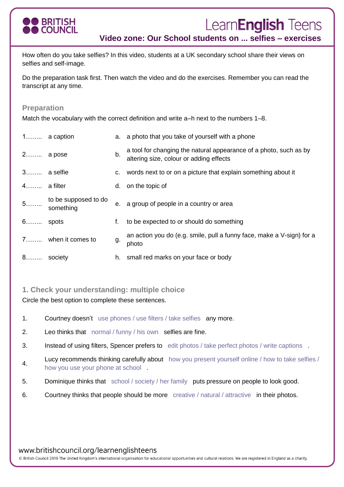

# Learn**English** Teens

**Video zone: Our School students on ... selfies – exercises** 

How often do you take selfies? In this video, students at a UK secondary school share their views on selfies and self-image.

Do the preparation task first. Then watch the video and do the exercises. Remember you can read the transcript at any time.

## **Preparation**

Match the vocabulary with the correct definition and write a–h next to the numbers 1–8.

|              | $1$ a caption                       |    | a. a photo that you take of yourself with a phone                                                            |
|--------------|-------------------------------------|----|--------------------------------------------------------------------------------------------------------------|
| 2 a pose     |                                     | b. | a tool for changing the natural appearance of a photo, such as by<br>altering size, colour or adding effects |
| $3$ a selfie |                                     |    | c. words next to or on a picture that explain something about it                                             |
| $4$ a filter |                                     |    | d. on the topic of                                                                                           |
|              | 5 to be supposed to do<br>something |    | e. a group of people in a country or area                                                                    |
| $6$ spots    |                                     | f. | to be expected to or should do something                                                                     |
|              | 7 when it comes to                  | g. | an action you do (e.g. smile, pull a funny face, make a V-sign) for a<br>photo                               |
| 8 society    |                                     | h. | small red marks on your face or body                                                                         |
|              |                                     |    |                                                                                                              |

# **1. Check your understanding: multiple choice**

Circle the best option to complete these sentences.

- 1. Courtney doesn't use phones / use filters / take selfies any more.
- 2. Leo thinks that normal / funny / his own selfies are fine.
- 3. Instead of using filters, Spencer prefers to edit photos / take perfect photos / write captions .
- 4. Lucy recommends thinking carefully about how you present yourself online / how to take selfies / how you use your phone at school .
- 5. Dominique thinks that school / society / her family puts pressure on people to look good.
- 6. Courtney thinks that people should be more creative / natural / attractive in their photos.

www.britishcouncil.org/learnenglishteens

© British Council 2019 The United Kingdom's international organisation for educational opportunities and cultural relations. We are registered in England as a charity.